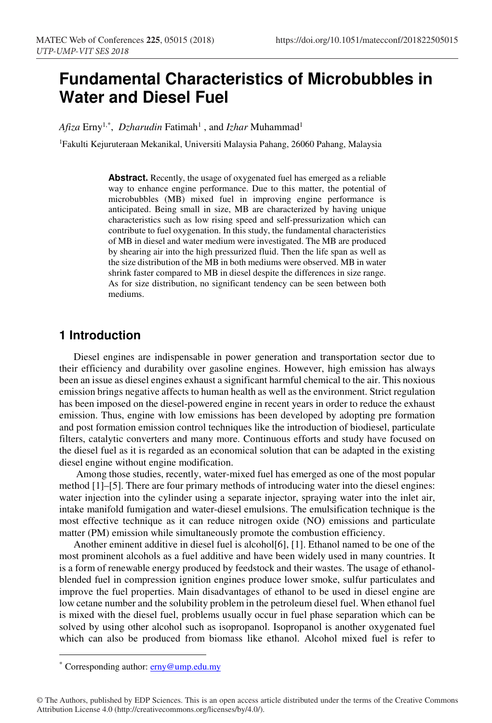# **Fundamental Characteristics of Microbubbles in Water and Diesel Fuel**

Afiza Erny<sup>1,\*</sup>, *Dzharudin* Fatimah<sup>1</sup>, and *Izhar* Muhammad<sup>1</sup>

1Fakulti Kejuruteraan Mekanikal, Universiti Malaysia Pahang, 26060 Pahang, Malaysia

**Abstract.** Recently, the usage of oxygenated fuel has emerged as a reliable way to enhance engine performance. Due to this matter, the potential of microbubbles (MB) mixed fuel in improving engine performance is anticipated. Being small in size, MB are characterized by having unique characteristics such as low rising speed and self-pressurization which can contribute to fuel oxygenation. In this study, the fundamental characteristics of MB in diesel and water medium were investigated. The MB are produced by shearing air into the high pressurized fluid. Then the life span as well as the size distribution of the MB in both mediums were observed. MB in water shrink faster compared to MB in diesel despite the differences in size range. As for size distribution, no significant tendency can be seen between both mediums.

# **1 Introduction**

Diesel engines are indispensable in power generation and transportation sector due to their efficiency and durability over gasoline engines. However, high emission has always been an issue as diesel engines exhaust a significant harmful chemical to the air. This noxious emission brings negative affects to human health as well as the environment. Strict regulation has been imposed on the diesel-powered engine in recent years in order to reduce the exhaust emission. Thus, engine with low emissions has been developed by adopting pre formation and post formation emission control techniques like the introduction of biodiesel, particulate filters, catalytic converters and many more. Continuous efforts and study have focused on the diesel fuel as it is regarded as an economical solution that can be adapted in the existing diesel engine without engine modification.

 Among those studies, recently, water-mixed fuel has emerged as one of the most popular method [1]–[5]. There are four primary methods of introducing water into the diesel engines: water injection into the cylinder using a separate injector, spraying water into the inlet air, intake manifold fumigation and water-diesel emulsions. The emulsification technique is the most effective technique as it can reduce nitrogen oxide (NO) emissions and particulate matter (PM) emission while simultaneously promote the combustion efficiency.

Another eminent additive in diesel fuel is alcohol[6], [1]. Ethanol named to be one of the most prominent alcohols as a fuel additive and have been widely used in many countries. It is a form of renewable energy produced by feedstock and their wastes. The usage of ethanolblended fuel in compression ignition engines produce lower smoke, sulfur particulates and improve the fuel properties. Main disadvantages of ethanol to be used in diesel engine are low cetane number and the solubility problem in the petroleum diesel fuel. When ethanol fuel is mixed with the diesel fuel, problems usually occur in fuel phase separation which can be solved by using other alcohol such as isopropanol. Isopropanol is another oxygenated fuel which can also be produced from biomass like ethanol. Alcohol mixed fuel is refer to

-

<sup>\*</sup> Corresponding author: **erny@ump.edu.my** 

<sup>©</sup> The Authors, published by EDP Sciences. This is an open access article distributed under the terms of the Creative Commons Attribution License 4.0 (http://creativecommons.org/licenses/by/4.0/).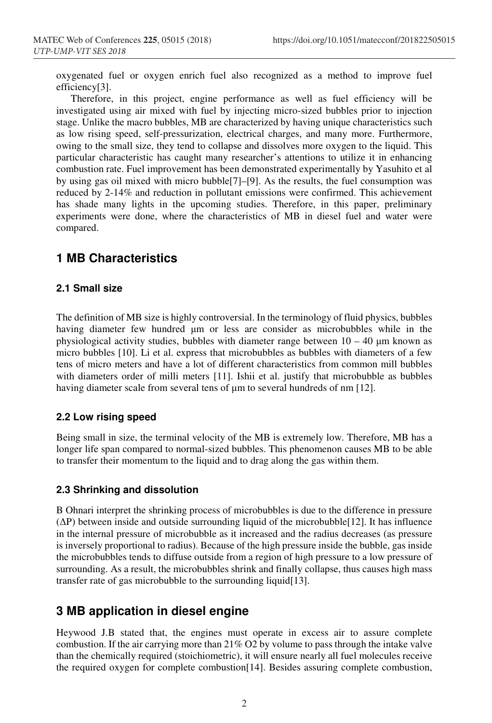oxygenated fuel or oxygen enrich fuel also recognized as a method to improve fuel efficiency[3].

Therefore, in this project, engine performance as well as fuel efficiency will be investigated using air mixed with fuel by injecting micro-sized bubbles prior to injection stage. Unlike the macro bubbles, MB are characterized by having unique characteristics such as low rising speed, self-pressurization, electrical charges, and many more. Furthermore, owing to the small size, they tend to collapse and dissolves more oxygen to the liquid. This particular characteristic has caught many researcher's attentions to utilize it in enhancing combustion rate. Fuel improvement has been demonstrated experimentally by Yasuhito et al by using gas oil mixed with micro bubble[7]–[9]. As the results, the fuel consumption was reduced by 2-14% and reduction in pollutant emissions were confirmed. This achievement has shade many lights in the upcoming studies. Therefore, in this paper, preliminary experiments were done, where the characteristics of MB in diesel fuel and water were compared.

# **1 MB Characteristics**

#### **2.1 Small size**

The definition of MB size is highly controversial. In the terminology of fluid physics, bubbles having diameter few hundred µm or less are consider as microbubbles while in the physiological activity studies, bubbles with diameter range between  $10 - 40 \mu m$  known as micro bubbles [10]. Li et al. express that microbubbles as bubbles with diameters of a few tens of micro meters and have a lot of different characteristics from common mill bubbles with diameters order of milli meters [11]. Ishii et al. justify that microbubble as bubbles having diameter scale from several tens of  $\mu$ m to several hundreds of nm [12].

#### **2.2 Low rising speed**

Being small in size, the terminal velocity of the MB is extremely low. Therefore, MB has a longer life span compared to normal-sized bubbles. This phenomenon causes MB to be able to transfer their momentum to the liquid and to drag along the gas within them.

#### **2.3 Shrinking and dissolution**

B Ohnari interpret the shrinking process of microbubbles is due to the difference in pressure (∆P) between inside and outside surrounding liquid of the microbubble[12]. It has influence in the internal pressure of microbubble as it increased and the radius decreases (as pressure is inversely proportional to radius). Because of the high pressure inside the bubble, gas inside the microbubbles tends to diffuse outside from a region of high pressure to a low pressure of surrounding. As a result, the microbubbles shrink and finally collapse, thus causes high mass transfer rate of gas microbubble to the surrounding liquid[13].

### **3 MB application in diesel engine**

Heywood J.B stated that, the engines must operate in excess air to assure complete combustion. If the air carrying more than 21% O2 by volume to pass through the intake valve than the chemically required (stoichiometric), it will ensure nearly all fuel molecules receive the required oxygen for complete combustion[14]. Besides assuring complete combustion,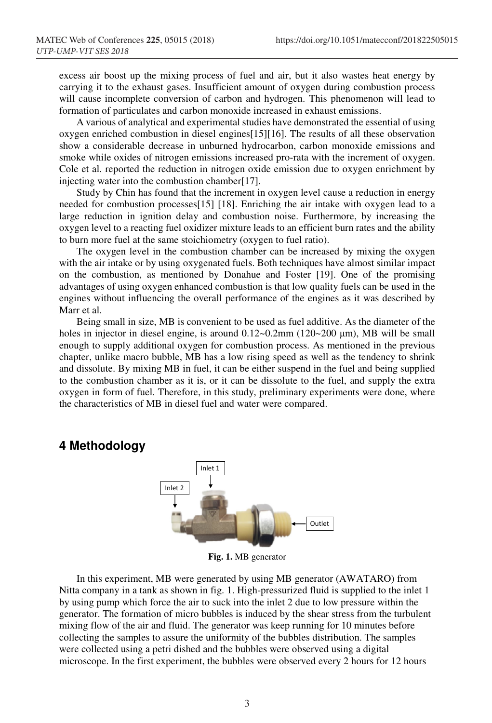excess air boost up the mixing process of fuel and air, but it also wastes heat energy by carrying it to the exhaust gases. Insufficient amount of oxygen during combustion process will cause incomplete conversion of carbon and hydrogen. This phenomenon will lead to formation of particulates and carbon monoxide increased in exhaust emissions.

 A various of analytical and experimental studies have demonstrated the essential of using oxygen enriched combustion in diesel engines[15][16]. The results of all these observation show a considerable decrease in unburned hydrocarbon, carbon monoxide emissions and smoke while oxides of nitrogen emissions increased pro-rata with the increment of oxygen. Cole et al. reported the reduction in nitrogen oxide emission due to oxygen enrichment by injecting water into the combustion chamber[17].

 Study by Chin has found that the increment in oxygen level cause a reduction in energy needed for combustion processes[15] [18]. Enriching the air intake with oxygen lead to a large reduction in ignition delay and combustion noise. Furthermore, by increasing the oxygen level to a reacting fuel oxidizer mixture leads to an efficient burn rates and the ability to burn more fuel at the same stoichiometry (oxygen to fuel ratio).

 The oxygen level in the combustion chamber can be increased by mixing the oxygen with the air intake or by using oxygenated fuels. Both techniques have almost similar impact on the combustion, as mentioned by Donahue and Foster [19]. One of the promising advantages of using oxygen enhanced combustion is that low quality fuels can be used in the engines without influencing the overall performance of the engines as it was described by Marr et al.

 Being small in size, MB is convenient to be used as fuel additive. As the diameter of the holes in injector in diesel engine, is around 0.12~0.2mm (120~200 µm), MB will be small enough to supply additional oxygen for combustion process. As mentioned in the previous chapter, unlike macro bubble, MB has a low rising speed as well as the tendency to shrink and dissolute. By mixing MB in fuel, it can be either suspend in the fuel and being supplied to the combustion chamber as it is, or it can be dissolute to the fuel, and supply the extra oxygen in form of fuel. Therefore, in this study, preliminary experiments were done, where the characteristics of MB in diesel fuel and water were compared.

### **4 Methodology**



**Fig. 1.** MB generator

 In this experiment, MB were generated by using MB generator (AWATARO) from Nitta company in a tank as shown in fig. 1. High-pressurized fluid is supplied to the inlet 1 by using pump which force the air to suck into the inlet 2 due to low pressure within the generator. The formation of micro bubbles is induced by the shear stress from the turbulent mixing flow of the air and fluid. The generator was keep running for 10 minutes before collecting the samples to assure the uniformity of the bubbles distribution. The samples were collected using a petri dished and the bubbles were observed using a digital microscope. In the first experiment, the bubbles were observed every 2 hours for 12 hours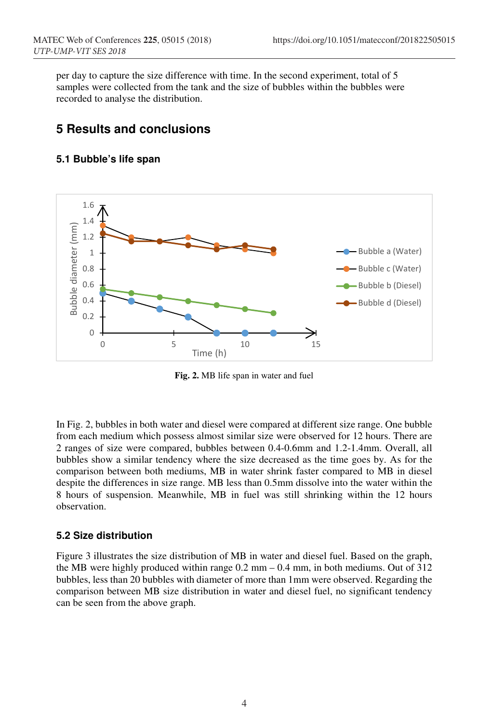per day to capture the size difference with time. In the second experiment, total of 5 samples were collected from the tank and the size of bubbles within the bubbles were recorded to analyse the distribution.

# **5 Results and conclusions**

### **5.1 Bubble's life span**



**Fig. 2.** MB life span in water and fuel

In Fig. 2, bubbles in both water and diesel were compared at different size range. One bubble from each medium which possess almost similar size were observed for 12 hours. There are 2 ranges of size were compared, bubbles between 0.4-0.6mm and 1.2-1.4mm. Overall, all bubbles show a similar tendency where the size decreased as the time goes by. As for the comparison between both mediums, MB in water shrink faster compared to MB in diesel despite the differences in size range. MB less than 0.5mm dissolve into the water within the 8 hours of suspension. Meanwhile, MB in fuel was still shrinking within the 12 hours observation.

### **5.2 Size distribution**

Figure 3 illustrates the size distribution of MB in water and diesel fuel. Based on the graph, the MB were highly produced within range 0.2 mm – 0.4 mm, in both mediums. Out of 312 bubbles, less than 20 bubbles with diameter of more than 1mm were observed. Regarding the comparison between MB size distribution in water and diesel fuel, no significant tendency can be seen from the above graph.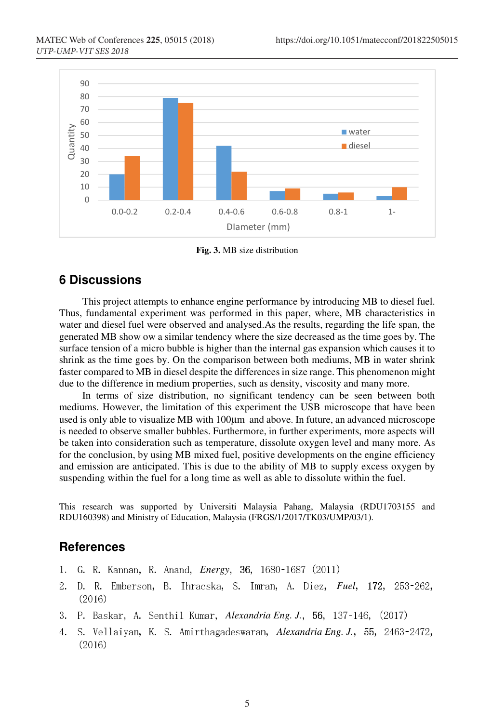

**Fig. 3.** MB size distribution

#### **6 Discussions**

This project attempts to enhance engine performance by introducing MB to diesel fuel. Thus, fundamental experiment was performed in this paper, where, MB characteristics in water and diesel fuel were observed and analysed.As the results, regarding the life span, the generated MB show ow a similar tendency where the size decreased as the time goes by. The surface tension of a micro bubble is higher than the internal gas expansion which causes it to shrink as the time goes by. On the comparison between both mediums, MB in water shrink faster compared to MB in diesel despite the differences in size range. This phenomenon might due to the difference in medium properties, such as density, viscosity and many more.

In terms of size distribution, no significant tendency can be seen between both mediums. However, the limitation of this experiment the USB microscope that have been used is only able to visualize MB with 100µm and above. In future, an advanced microscope is needed to observe smaller bubbles. Furthermore, in further experiments, more aspects will be taken into consideration such as temperature, dissolute oxygen level and many more. As for the conclusion, by using MB mixed fuel, positive developments on the engine efficiency and emission are anticipated. This is due to the ability of MB to supply excess oxygen by suspending within the fuel for a long time as well as able to dissolute within the fuel.

This research was supported by Universiti Malaysia Pahang, Malaysia (RDU1703155 and RDU160398) and Ministry of Education, Malaysia (FRGS/1/2017/TK03/UMP/03/1).

#### **References**

- 1. *G. R. Kannan, R. Anand, Energy*, 36, 1680-1687 (2011)
- 2. D. R. Emberson, B. Ihracska, S. Imran, A. Diez, *Fuel*, 172, 253-262,  $(2016)$
- 3. P. Baskar, A. Senthil Kumar, Alexandria Eng. J., 56, 137-146, (2017)
- 4. S. Vellaiyan, K. S. Amirthagadeswaran, *Alexandria Eng. J.*, 55, 2463-2472,  $(2016)$